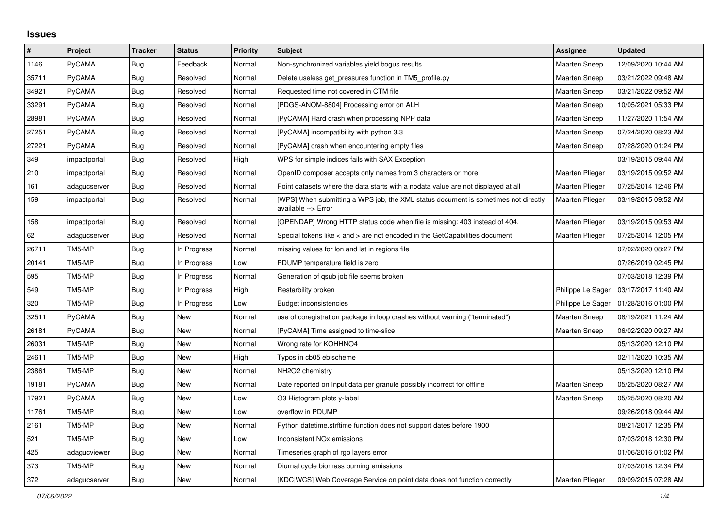## **Issues**

| $\vert$ # | Project       | <b>Tracker</b> | <b>Status</b> | <b>Priority</b> | <b>Subject</b>                                                                                            | Assignee               | <b>Updated</b>      |
|-----------|---------------|----------------|---------------|-----------------|-----------------------------------------------------------------------------------------------------------|------------------------|---------------------|
| 1146      | PyCAMA        | Bug            | Feedback      | Normal          | Non-synchronized variables yield bogus results                                                            | <b>Maarten Sneep</b>   | 12/09/2020 10:44 AM |
| 35711     | <b>PyCAMA</b> | <b>Bug</b>     | Resolved      | Normal          | Delete useless get pressures function in TM5 profile.py                                                   | <b>Maarten Sneep</b>   | 03/21/2022 09:48 AM |
| 34921     | PyCAMA        | Bug            | Resolved      | Normal          | Requested time not covered in CTM file                                                                    | <b>Maarten Sneep</b>   | 03/21/2022 09:52 AM |
| 33291     | PyCAMA        | Bug            | Resolved      | Normal          | [PDGS-ANOM-8804] Processing error on ALH                                                                  | <b>Maarten Sneep</b>   | 10/05/2021 05:33 PM |
| 28981     | <b>PyCAMA</b> | Bug            | Resolved      | Normal          | [PyCAMA] Hard crash when processing NPP data                                                              | Maarten Sneep          | 11/27/2020 11:54 AM |
| 27251     | PyCAMA        | Bug            | Resolved      | Normal          | [PyCAMA] incompatibility with python 3.3                                                                  | Maarten Sneep          | 07/24/2020 08:23 AM |
| 27221     | PyCAMA        | Bug            | Resolved      | Normal          | [PyCAMA] crash when encountering empty files                                                              | <b>Maarten Sneep</b>   | 07/28/2020 01:24 PM |
| 349       | impactportal  | Bug            | Resolved      | High            | WPS for simple indices fails with SAX Exception                                                           |                        | 03/19/2015 09:44 AM |
| 210       | impactportal  | Bug            | Resolved      | Normal          | OpenID composer accepts only names from 3 characters or more                                              | <b>Maarten Plieger</b> | 03/19/2015 09:52 AM |
| 161       | adagucserver  | <b>Bug</b>     | Resolved      | Normal          | Point datasets where the data starts with a nodata value are not displayed at all                         | Maarten Plieger        | 07/25/2014 12:46 PM |
| 159       | impactportal  | <b>Bug</b>     | Resolved      | Normal          | [WPS] When submitting a WPS job, the XML status document is sometimes not directly<br>available --> Error | Maarten Plieger        | 03/19/2015 09:52 AM |
| 158       | impactportal  | Bug            | Resolved      | Normal          | [OPENDAP] Wrong HTTP status code when file is missing: 403 instead of 404.                                | <b>Maarten Plieger</b> | 03/19/2015 09:53 AM |
| 62        | adagucserver  | Bug            | Resolved      | Normal          | Special tokens like < and > are not encoded in the GetCapabilities document                               | Maarten Plieger        | 07/25/2014 12:05 PM |
| 26711     | TM5-MP        | <b>Bug</b>     | In Progress   | Normal          | missing values for lon and lat in regions file                                                            |                        | 07/02/2020 08:27 PM |
| 20141     | TM5-MP        | <b>Bug</b>     | In Progress   | Low             | PDUMP temperature field is zero                                                                           |                        | 07/26/2019 02:45 PM |
| 595       | TM5-MP        | Bug            | In Progress   | Normal          | Generation of qsub job file seems broken                                                                  |                        | 07/03/2018 12:39 PM |
| 549       | TM5-MP        | Bug            | In Progress   | High            | Restarbility broken                                                                                       | Philippe Le Sager      | 03/17/2017 11:40 AM |
| 320       | TM5-MP        | Bug            | In Progress   | Low             | <b>Budget inconsistencies</b>                                                                             | Philippe Le Sager      | 01/28/2016 01:00 PM |
| 32511     | <b>PyCAMA</b> | <b>Bug</b>     | New           | Normal          | use of coregistration package in loop crashes without warning ("terminated")                              | <b>Maarten Sneep</b>   | 08/19/2021 11:24 AM |
| 26181     | PyCAMA        | <b>Bug</b>     | New           | Normal          | [PyCAMA] Time assigned to time-slice                                                                      | <b>Maarten Sneep</b>   | 06/02/2020 09:27 AM |
| 26031     | TM5-MP        | Bug            | New           | Normal          | Wrong rate for KOHHNO4                                                                                    |                        | 05/13/2020 12:10 PM |
| 24611     | TM5-MP        | Bug            | New           | High            | Typos in cb05 ebischeme                                                                                   |                        | 02/11/2020 10:35 AM |
| 23861     | TM5-MP        | Bug            | New           | Normal          | NH <sub>2</sub> O <sub>2</sub> chemistry                                                                  |                        | 05/13/2020 12:10 PM |
| 19181     | PyCAMA        | <b>Bug</b>     | New           | Normal          | Date reported on Input data per granule possibly incorrect for offline                                    | <b>Maarten Sneep</b>   | 05/25/2020 08:27 AM |
| 17921     | PyCAMA        | Bug            | <b>New</b>    | Low             | O3 Histogram plots y-label                                                                                | <b>Maarten Sneep</b>   | 05/25/2020 08:20 AM |
| 11761     | TM5-MP        | Bug            | <b>New</b>    | Low             | overflow in PDUMP                                                                                         |                        | 09/26/2018 09:44 AM |
| 2161      | TM5-MP        | <b>Bug</b>     | New           | Normal          | Python datetime.strftime function does not support dates before 1900                                      |                        | 08/21/2017 12:35 PM |
| 521       | TM5-MP        | Bug            | New           | Low             | <b>Inconsistent NOx emissions</b>                                                                         |                        | 07/03/2018 12:30 PM |
| 425       | adagucviewer  | Bug            | New           | Normal          | Timeseries graph of rgb layers error                                                                      |                        | 01/06/2016 01:02 PM |
| 373       | TM5-MP        | Bug            | New           | Normal          | Diurnal cycle biomass burning emissions                                                                   |                        | 07/03/2018 12:34 PM |
| 372       | adagucserver  | Bug            | New           | Normal          | [KDC WCS] Web Coverage Service on point data does not function correctly                                  | <b>Maarten Plieger</b> | 09/09/2015 07:28 AM |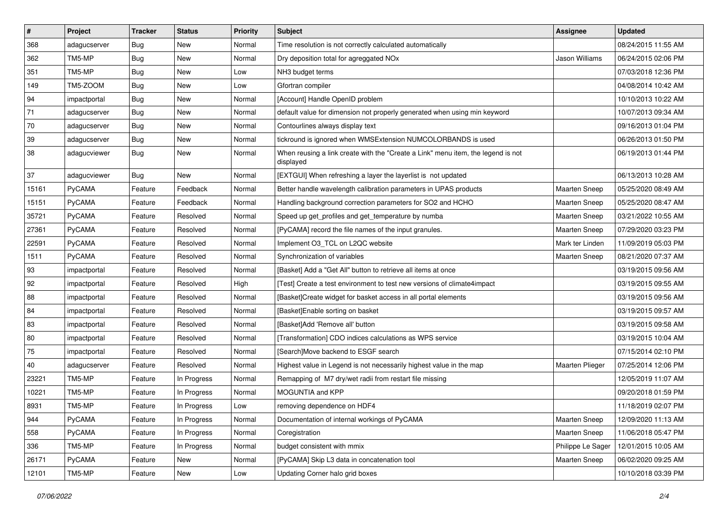| $\sharp$ | Project       | <b>Tracker</b> | <b>Status</b> | <b>Priority</b> | Subject                                                                                       | Assignee               | <b>Updated</b>      |
|----------|---------------|----------------|---------------|-----------------|-----------------------------------------------------------------------------------------------|------------------------|---------------------|
| 368      | adagucserver  | <b>Bug</b>     | New           | Normal          | Time resolution is not correctly calculated automatically                                     |                        | 08/24/2015 11:55 AM |
| 362      | TM5-MP        | <b>Bug</b>     | New           | Normal          | Dry deposition total for agreggated NOx                                                       | Jason Williams         | 06/24/2015 02:06 PM |
| 351      | TM5-MP        | <b>Bug</b>     | New           | Low             | NH3 budget terms                                                                              |                        | 07/03/2018 12:36 PM |
| 149      | TM5-ZOOM      | Bug            | New           | Low             | Gfortran compiler                                                                             |                        | 04/08/2014 10:42 AM |
| 94       | impactportal  | <b>Bug</b>     | New           | Normal          | [Account] Handle OpenID problem                                                               |                        | 10/10/2013 10:22 AM |
| $71$     | adagucserver  | Bug            | New           | Normal          | default value for dimension not properly generated when using min keyword                     |                        | 10/07/2013 09:34 AM |
| $70\,$   | adagucserver  | Bug            | New           | Normal          | Contourlines always display text                                                              |                        | 09/16/2013 01:04 PM |
| 39       | adagucserver  | <b>Bug</b>     | New           | Normal          | tickround is ignored when WMSExtension NUMCOLORBANDS is used                                  |                        | 06/26/2013 01:50 PM |
| 38       | adagucviewer  | Bug            | New           | Normal          | When reusing a link create with the "Create a Link" menu item, the legend is not<br>displayed |                        | 06/19/2013 01:44 PM |
| 37       | adagucviewer  | Bug            | <b>New</b>    | Normal          | [EXTGUI] When refreshing a layer the layerlist is not updated                                 |                        | 06/13/2013 10:28 AM |
| 15161    | <b>PyCAMA</b> | Feature        | Feedback      | Normal          | Better handle wavelength calibration parameters in UPAS products                              | Maarten Sneep          | 05/25/2020 08:49 AM |
| 15151    | <b>PyCAMA</b> | Feature        | Feedback      | Normal          | Handling background correction parameters for SO2 and HCHO                                    | <b>Maarten Sneep</b>   | 05/25/2020 08:47 AM |
| 35721    | PyCAMA        | Feature        | Resolved      | Normal          | Speed up get_profiles and get_temperature by numba                                            | Maarten Sneep          | 03/21/2022 10:55 AM |
| 27361    | PyCAMA        | Feature        | Resolved      | Normal          | [PyCAMA] record the file names of the input granules.                                         | Maarten Sneep          | 07/29/2020 03:23 PM |
| 22591    | <b>PyCAMA</b> | Feature        | Resolved      | Normal          | Implement O3 TCL on L2QC website                                                              | Mark ter Linden        | 11/09/2019 05:03 PM |
| 1511     | PyCAMA        | Feature        | Resolved      | Normal          | Synchronization of variables                                                                  | <b>Maarten Sneep</b>   | 08/21/2020 07:37 AM |
| 93       | impactportal  | Feature        | Resolved      | Normal          | [Basket] Add a "Get All" button to retrieve all items at once                                 |                        | 03/19/2015 09:56 AM |
| 92       | impactportal  | Feature        | Resolved      | High            | [Test] Create a test environment to test new versions of climate4impact                       |                        | 03/19/2015 09:55 AM |
| 88       | impactportal  | Feature        | Resolved      | Normal          | [Basket]Create widget for basket access in all portal elements                                |                        | 03/19/2015 09:56 AM |
| 84       | impactportal  | Feature        | Resolved      | Normal          | [Basket]Enable sorting on basket                                                              |                        | 03/19/2015 09:57 AM |
| 83       | impactportal  | Feature        | Resolved      | Normal          | [Basket]Add 'Remove all' button                                                               |                        | 03/19/2015 09:58 AM |
| 80       | impactportal  | Feature        | Resolved      | Normal          | [Transformation] CDO indices calculations as WPS service                                      |                        | 03/19/2015 10:04 AM |
| 75       | impactportal  | Feature        | Resolved      | Normal          | [Search]Move backend to ESGF search                                                           |                        | 07/15/2014 02:10 PM |
| 40       | adagucserver  | Feature        | Resolved      | Normal          | Highest value in Legend is not necessarily highest value in the map                           | <b>Maarten Plieger</b> | 07/25/2014 12:06 PM |
| 23221    | TM5-MP        | Feature        | In Progress   | Normal          | Remapping of M7 dry/wet radii from restart file missing                                       |                        | 12/05/2019 11:07 AM |
| 10221    | TM5-MP        | Feature        | In Progress   | Normal          | MOGUNTIA and KPP                                                                              |                        | 09/20/2018 01:59 PM |
| 8931     | TM5-MP        | Feature        | In Progress   | Low             | removing dependence on HDF4                                                                   |                        | 11/18/2019 02:07 PM |
| 944      | PyCAMA        | Feature        | In Progress   | Normal          | Documentation of internal workings of PyCAMA                                                  | Maarten Sneep          | 12/09/2020 11:13 AM |
| 558      | PyCAMA        | Feature        | In Progress   | Normal          | Coregistration                                                                                | Maarten Sneep          | 11/06/2018 05:47 PM |
| 336      | TM5-MP        | Feature        | In Progress   | Normal          | budget consistent with mmix                                                                   | Philippe Le Sager      | 12/01/2015 10:05 AM |
| 26171    | PyCAMA        | Feature        | New           | Normal          | [PyCAMA] Skip L3 data in concatenation tool                                                   | Maarten Sneep          | 06/02/2020 09:25 AM |
| 12101    | TM5-MP        | Feature        | New           | Low             | Updating Corner halo grid boxes                                                               |                        | 10/10/2018 03:39 PM |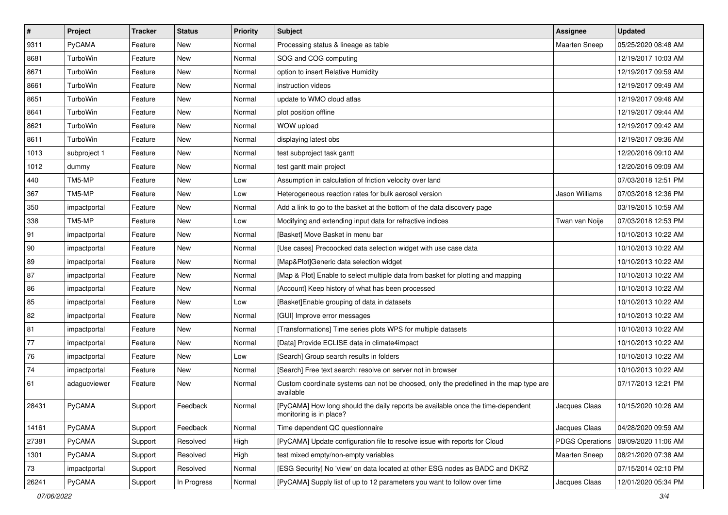| $\sharp$   | Project      | <b>Tracker</b> | <b>Status</b> | <b>Priority</b> | Subject                                                                                                    | <b>Assignee</b>        | <b>Updated</b>      |
|------------|--------------|----------------|---------------|-----------------|------------------------------------------------------------------------------------------------------------|------------------------|---------------------|
| 9311       | PyCAMA       | Feature        | New           | Normal          | Processing status & lineage as table                                                                       | Maarten Sneep          | 05/25/2020 08:48 AM |
| 8681       | TurboWin     | Feature        | <b>New</b>    | Normal          | SOG and COG computing                                                                                      |                        | 12/19/2017 10:03 AM |
| 8671       | TurboWin     | Feature        | New           | Normal          | option to insert Relative Humidity                                                                         |                        | 12/19/2017 09:59 AM |
| 8661       | TurboWin     | Feature        | <b>New</b>    | Normal          | instruction videos                                                                                         |                        | 12/19/2017 09:49 AM |
| 8651       | TurboWin     | Feature        | <b>New</b>    | Normal          | update to WMO cloud atlas                                                                                  |                        | 12/19/2017 09:46 AM |
| 8641       | TurboWin     | Feature        | New           | Normal          | plot position offline                                                                                      |                        | 12/19/2017 09:44 AM |
| 8621       | TurboWin     | Feature        | <b>New</b>    | Normal          | WOW upload                                                                                                 |                        | 12/19/2017 09:42 AM |
| 8611       | TurboWin     | Feature        | New           | Normal          | displaying latest obs                                                                                      |                        | 12/19/2017 09:36 AM |
| 1013       | subproject 1 | Feature        | <b>New</b>    | Normal          | test subproject task gantt                                                                                 |                        | 12/20/2016 09:10 AM |
| 1012       | dummy        | Feature        | <b>New</b>    | Normal          | test gantt main project                                                                                    |                        | 12/20/2016 09:09 AM |
| 440        | TM5-MP       | Feature        | New           | Low             | Assumption in calculation of friction velocity over land                                                   |                        | 07/03/2018 12:51 PM |
| 367        | TM5-MP       | Feature        | New           | Low             | Heterogeneous reaction rates for bulk aerosol version                                                      | Jason Williams         | 07/03/2018 12:36 PM |
| 350        | impactportal | Feature        | <b>New</b>    | Normal          | Add a link to go to the basket at the bottom of the data discovery page                                    |                        | 03/19/2015 10:59 AM |
| 338        | TM5-MP       | Feature        | <b>New</b>    | Low             | Modifying and extending input data for refractive indices                                                  | Twan van Noije         | 07/03/2018 12:53 PM |
| 91         | impactportal | Feature        | <b>New</b>    | Normal          | [Basket] Move Basket in menu bar                                                                           |                        | 10/10/2013 10:22 AM |
| 90         | impactportal | Feature        | New           | Normal          | [Use cases] Precoocked data selection widget with use case data                                            |                        | 10/10/2013 10:22 AM |
| 89         | impactportal | Feature        | New           | Normal          | [Map&Plot]Generic data selection widget                                                                    |                        | 10/10/2013 10:22 AM |
| 87         | impactportal | Feature        | <b>New</b>    | Normal          | [Map & Plot] Enable to select multiple data from basket for plotting and mapping                           |                        | 10/10/2013 10:22 AM |
| 86         | impactportal | Feature        | New           | Normal          | [Account] Keep history of what has been processed                                                          |                        | 10/10/2013 10:22 AM |
| 85         | impactportal | Feature        | New           | Low             | [Basket]Enable grouping of data in datasets                                                                |                        | 10/10/2013 10:22 AM |
| 82         | impactportal | Feature        | New           | Normal          | [GUI] Improve error messages                                                                               |                        | 10/10/2013 10:22 AM |
| 81         | impactportal | Feature        | <b>New</b>    | Normal          | [Transformations] Time series plots WPS for multiple datasets                                              |                        | 10/10/2013 10:22 AM |
| 77         | impactportal | Feature        | <b>New</b>    | Normal          | [Data] Provide ECLISE data in climate4impact                                                               |                        | 10/10/2013 10:22 AM |
| ${\bf 76}$ | impactportal | Feature        | New           | Low             | [Search] Group search results in folders                                                                   |                        | 10/10/2013 10:22 AM |
| 74         | impactportal | Feature        | New           | Normal          | [Search] Free text search: resolve on server not in browser                                                |                        | 10/10/2013 10:22 AM |
| 61         | adagucviewer | Feature        | New           | Normal          | Custom coordinate systems can not be choosed, only the predefined in the map type are<br>available         |                        | 07/17/2013 12:21 PM |
| 28431      | PyCAMA       | Support        | Feedback      | Normal          | [PyCAMA] How long should the daily reports be available once the time-dependent<br>monitoring is in place? | Jacques Claas          | 10/15/2020 10:26 AM |
| 14161      | PyCAMA       | Support        | Feedback      | Normal          | Time dependent QC questionnaire                                                                            | Jacques Claas          | 04/28/2020 09:59 AM |
| 27381      | PyCAMA       | Support        | Resolved      | High            | [PyCAMA] Update configuration file to resolve issue with reports for Cloud                                 | <b>PDGS Operations</b> | 09/09/2020 11:06 AM |
| 1301       | PyCAMA       | Support        | Resolved      | High            | test mixed empty/non-empty variables                                                                       | <b>Maarten Sneep</b>   | 08/21/2020 07:38 AM |
| $73\,$     | impactportal | Support        | Resolved      | Normal          | [ESG Security] No 'view' on data located at other ESG nodes as BADC and DKRZ                               |                        | 07/15/2014 02:10 PM |
| 26241      | PyCAMA       | Support        | In Progress   | Normal          | [PyCAMA] Supply list of up to 12 parameters you want to follow over time                                   | Jacques Claas          | 12/01/2020 05:34 PM |